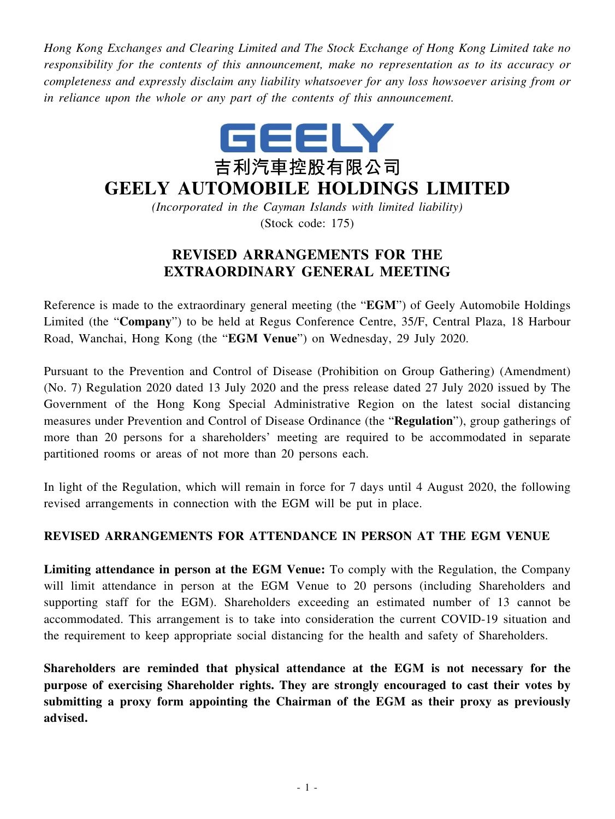*Hong Kong Exchanges and Clearing Limited and The Stock Exchange of Hong Kong Limited take no responsibility for the contents of this announcement, make no representation as to its accuracy or completeness and expressly disclaim any liability whatsoever for any loss howsoever arising from or in reliance upon the whole or any part of the contents of this announcement.*



## **GEELY AUTOMOBILE HOLDINGS LIMITED**

*(Incorporated in the Cayman Islands with limited liability)* (Stock code: 175)

## **REVISED ARRANGEMENTS FOR THE EXTRAORDINARY GENERAL MEETING**

Reference is made to the extraordinary general meeting (the "**EGM**") of Geely Automobile Holdings Limited (the "**Company**") to be held at Regus Conference Centre, 35/F, Central Plaza, 18 Harbour Road, Wanchai, Hong Kong (the "**EGM Venue**") on Wednesday, 29 July 2020.

Pursuant to the Prevention and Control of Disease (Prohibition on Group Gathering) (Amendment) (No. 7) Regulation 2020 dated 13 July 2020 and the press release dated 27 July 2020 issued by The Government of the Hong Kong Special Administrative Region on the latest social distancing measures under Prevention and Control of Disease Ordinance (the "**Regulation**"), group gatherings of more than 20 persons for a shareholders' meeting are required to be accommodated in separate partitioned rooms or areas of not more than 20 persons each.

In light of the Regulation, which will remain in force for 7 days until 4 August 2020, the following revised arrangements in connection with the EGM will be put in place.

## **REVISED ARRANGEMENTS FOR ATTENDANCE IN PERSON AT THE EGM VENUE**

**Limiting attendance in person at the EGM Venue:** To comply with the Regulation, the Company will limit attendance in person at the EGM Venue to 20 persons (including Shareholders and supporting staff for the EGM). Shareholders exceeding an estimated number of 13 cannot be accommodated. This arrangement is to take into consideration the current COVID-19 situation and the requirement to keep appropriate social distancing for the health and safety of Shareholders.

**Shareholders are reminded that physical attendance at the EGM is not necessary for the purpose of exercising Shareholder rights. They are strongly encouraged to cast their votes by submitting a proxy form appointing the Chairman of the EGM as their proxy as previously advised.**